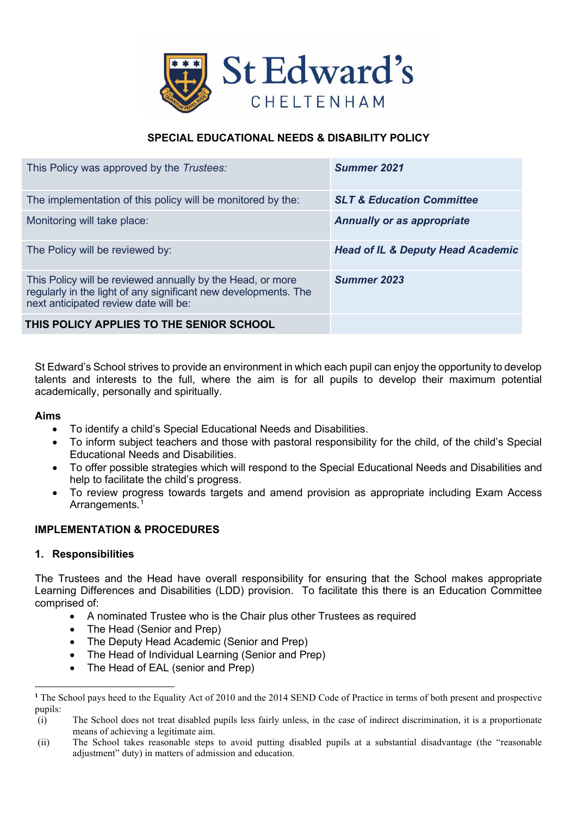

# **SPECIAL EDUCATIONAL NEEDS & DISABILITY POLICY**

| This Policy was approved by the Trustees:                                                                                                                              | Summer 2021                                  |
|------------------------------------------------------------------------------------------------------------------------------------------------------------------------|----------------------------------------------|
| The implementation of this policy will be monitored by the:                                                                                                            | <b>SLT &amp; Education Committee</b>         |
| Monitoring will take place:                                                                                                                                            | <b>Annually or as appropriate</b>            |
| The Policy will be reviewed by:                                                                                                                                        | <b>Head of IL &amp; Deputy Head Academic</b> |
| This Policy will be reviewed annually by the Head, or more<br>regularly in the light of any significant new developments. The<br>next anticipated review date will be: | Summer 2023                                  |
| THIS POLICY APPLIES TO THE SENIOR SCHOOL                                                                                                                               |                                              |

St Edward's School strives to provide an environment in which each pupil can enjoy the opportunity to develop talents and interests to the full, where the aim is for all pupils to develop their maximum potential academically, personally and spiritually.

#### **Aims**

- To identify a child's Special Educational Needs and Disabilities.
- To inform subject teachers and those with pastoral responsibility for the child, of the child's Special Educational Needs and Disabilities.
- To offer possible strategies which will respond to the Special Educational Needs and Disabilities and help to facilitate the child's progress.
- To review progress towards targets and amend provision as appropriate including Exam Access Arrangements.<sup>[1](#page-0-0)</sup>

# **IMPLEMENTATION & PROCEDURES**

#### **1. Responsibilities**

The Trustees and the Head have overall responsibility for ensuring that the School makes appropriate Learning Differences and Disabilities (LDD) provision. To facilitate this there is an Education Committee comprised of:

- A nominated Trustee who is the Chair plus other Trustees as required
- The Head (Senior and Prep)
- The Deputy Head Academic (Senior and Prep)
- The Head of Individual Learning (Senior and Prep)
- The Head of EAL (senior and Prep)

<span id="page-0-0"></span>**<sup>1</sup>** The School pays heed to the Equality Act of 2010 and the 2014 SEND Code of Practice in terms of both present and prospective pupils:

<sup>(</sup>i) The School does not treat disabled pupils less fairly unless, in the case of indirect discrimination, it is a proportionate means of achieving a legitimate aim.

<sup>(</sup>ii) The School takes reasonable steps to avoid putting disabled pupils at a substantial disadvantage (the "reasonable adjustment" duty) in matters of admission and education.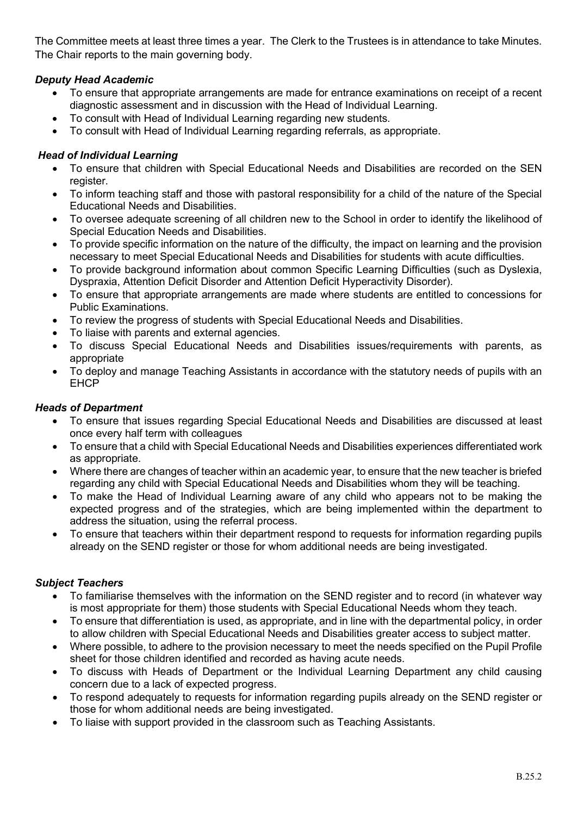The Committee meets at least three times a year. The Clerk to the Trustees is in attendance to take Minutes. The Chair reports to the main governing body.

# *Deputy Head Academic*

- To ensure that appropriate arrangements are made for entrance examinations on receipt of a recent diagnostic assessment and in discussion with the Head of Individual Learning.
- To consult with Head of Individual Learning regarding new students.
- To consult with Head of Individual Learning regarding referrals, as appropriate.

# *Head of Individual Learning*

- To ensure that children with Special Educational Needs and Disabilities are recorded on the SEN register.
- To inform teaching staff and those with pastoral responsibility for a child of the nature of the Special Educational Needs and Disabilities.
- To oversee adequate screening of all children new to the School in order to identify the likelihood of Special Education Needs and Disabilities.
- To provide specific information on the nature of the difficulty, the impact on learning and the provision necessary to meet Special Educational Needs and Disabilities for students with acute difficulties.
- To provide background information about common Specific Learning Difficulties (such as Dyslexia, Dyspraxia, Attention Deficit Disorder and Attention Deficit Hyperactivity Disorder).
- To ensure that appropriate arrangements are made where students are entitled to concessions for Public Examinations.
- To review the progress of students with Special Educational Needs and Disabilities.
- To liaise with parents and external agencies.
- To discuss Special Educational Needs and Disabilities issues/requirements with parents, as appropriate
- To deploy and manage Teaching Assistants in accordance with the statutory needs of pupils with an **EHCP**

# *Heads of Department*

- To ensure that issues regarding Special Educational Needs and Disabilities are discussed at least once every half term with colleagues
- To ensure that a child with Special Educational Needs and Disabilities experiences differentiated work as appropriate.
- Where there are changes of teacher within an academic year, to ensure that the new teacher is briefed regarding any child with Special Educational Needs and Disabilities whom they will be teaching.
- To make the Head of Individual Learning aware of any child who appears not to be making the expected progress and of the strategies, which are being implemented within the department to address the situation, using the referral process.
- To ensure that teachers within their department respond to requests for information regarding pupils already on the SEND register or those for whom additional needs are being investigated.

# *Subject Teachers*

- To familiarise themselves with the information on the SEND register and to record (in whatever way is most appropriate for them) those students with Special Educational Needs whom they teach.
- To ensure that differentiation is used, as appropriate, and in line with the departmental policy, in order to allow children with Special Educational Needs and Disabilities greater access to subject matter.
- Where possible, to adhere to the provision necessary to meet the needs specified on the Pupil Profile sheet for those children identified and recorded as having acute needs.
- To discuss with Heads of Department or the Individual Learning Department any child causing concern due to a lack of expected progress.
- To respond adequately to requests for information regarding pupils already on the SEND register or those for whom additional needs are being investigated.
- To liaise with support provided in the classroom such as Teaching Assistants.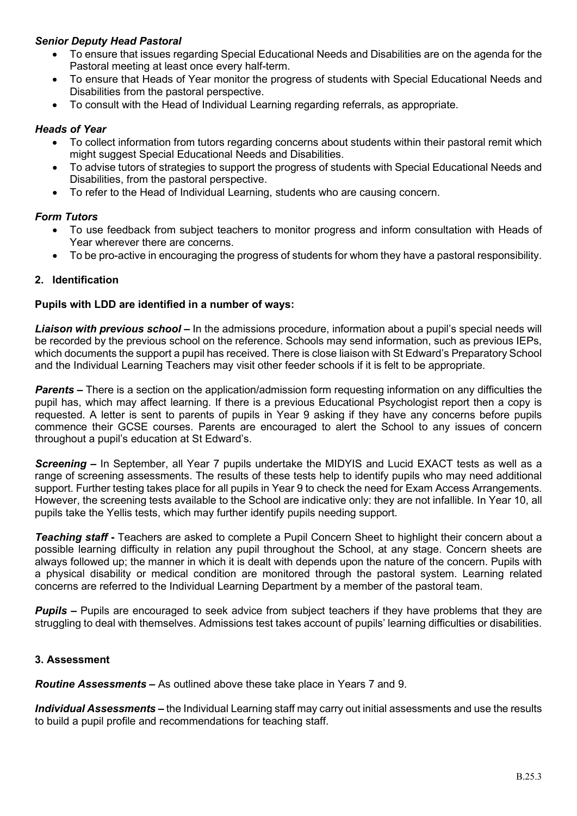## *Senior Deputy Head Pastoral*

- To ensure that issues regarding Special Educational Needs and Disabilities are on the agenda for the Pastoral meeting at least once every half-term.
- To ensure that Heads of Year monitor the progress of students with Special Educational Needs and Disabilities from the pastoral perspective.
- To consult with the Head of Individual Learning regarding referrals, as appropriate.

#### *Heads of Year*

- To collect information from tutors regarding concerns about students within their pastoral remit which might suggest Special Educational Needs and Disabilities.
- To advise tutors of strategies to support the progress of students with Special Educational Needs and Disabilities, from the pastoral perspective.
- To refer to the Head of Individual Learning, students who are causing concern.

### *Form Tutors*

- To use feedback from subject teachers to monitor progress and inform consultation with Heads of Year wherever there are concerns.
- To be pro-active in encouraging the progress of students for whom they have a pastoral responsibility.

### **2. Identification**

#### **Pupils with LDD are identified in a number of ways:**

*Liaison with previous school* **–** In the admissions procedure, information about a pupil's special needs will be recorded by the previous school on the reference. Schools may send information, such as previous IEPs, which documents the support a pupil has received. There is close liaison with St Edward's Preparatory School and the Individual Learning Teachers may visit other feeder schools if it is felt to be appropriate.

*Parents* – There is a section on the application/admission form requesting information on any difficulties the pupil has, which may affect learning. If there is a previous Educational Psychologist report then a copy is requested. A letter is sent to parents of pupils in Year 9 asking if they have any concerns before pupils commence their GCSE courses. Parents are encouraged to alert the School to any issues of concern throughout a pupil's education at St Edward's.

*Screening* **–** In September, all Year 7 pupils undertake the MIDYIS and Lucid EXACT tests as well as a range of screening assessments. The results of these tests help to identify pupils who may need additional support. Further testing takes place for all pupils in Year 9 to check the need for Exam Access Arrangements. However, the screening tests available to the School are indicative only: they are not infallible. In Year 10, all pupils take the Yellis tests, which may further identify pupils needing support.

*Teaching staff* **-** Teachers are asked to complete a Pupil Concern Sheet to highlight their concern about a possible learning difficulty in relation any pupil throughout the School, at any stage. Concern sheets are always followed up; the manner in which it is dealt with depends upon the nature of the concern. Pupils with a physical disability or medical condition are monitored through the pastoral system. Learning related concerns are referred to the Individual Learning Department by a member of the pastoral team.

*Pupils* – Pupils are encouraged to seek advice from subject teachers if they have problems that they are struggling to deal with themselves. Admissions test takes account of pupils' learning difficulties or disabilities.

#### **3. Assessment**

*Routine Assessments* **–** As outlined above these take place in Years 7 and 9.

*Individual Assessments* **–** the Individual Learning staff may carry out initial assessments and use the results to build a pupil profile and recommendations for teaching staff.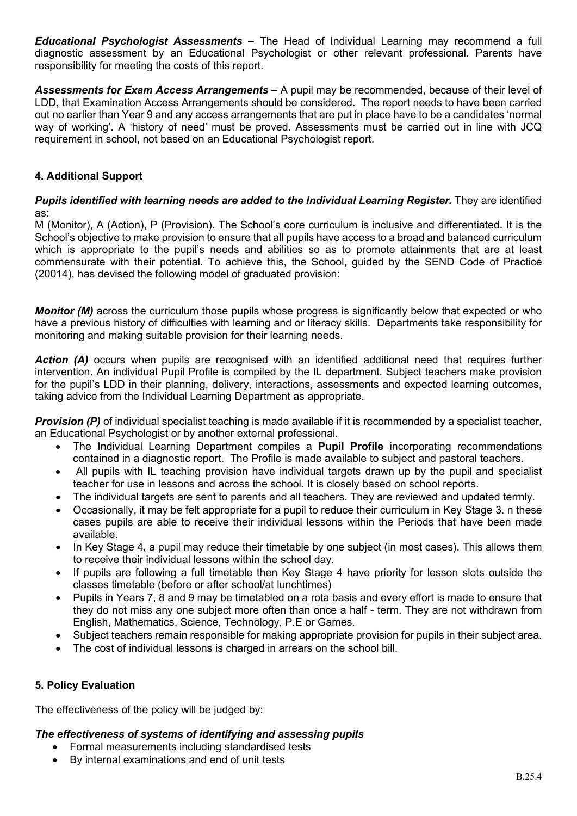*Educational Psychologist Assessments* **–** The Head of Individual Learning may recommend a full diagnostic assessment by an Educational Psychologist or other relevant professional. Parents have responsibility for meeting the costs of this report.

*Assessments for Exam Access Arrangements* **–** A pupil may be recommended, because of their level of LDD, that Examination Access Arrangements should be considered. The report needs to have been carried out no earlier than Year 9 and any access arrangements that are put in place have to be a candidates 'normal way of working'. A 'history of need' must be proved. Assessments must be carried out in line with JCQ requirement in school, not based on an Educational Psychologist report.

# **4. Additional Support**

#### **Pupils identified with learning needs are added to the Individual Learning Register.** They are identified as:

M (Monitor), A (Action), P (Provision). The School's core curriculum is inclusive and differentiated. It is the School's objective to make provision to ensure that all pupils have access to a broad and balanced curriculum which is appropriate to the pupil's needs and abilities so as to promote attainments that are at least commensurate with their potential. To achieve this, the School, guided by the SEND Code of Practice (20014), has devised the following model of graduated provision:

*Monitor (M)* across the curriculum those pupils whose progress is significantly below that expected or who have a previous history of difficulties with learning and or literacy skills. Departments take responsibility for monitoring and making suitable provision for their learning needs.

*Action (A)* occurs when pupils are recognised with an identified additional need that requires further intervention. An individual Pupil Profile is compiled by the IL department. Subject teachers make provision for the pupil's LDD in their planning, delivery, interactions, assessments and expected learning outcomes, taking advice from the Individual Learning Department as appropriate.

*Provision (P)* of individual specialist teaching is made available if it is recommended by a specialist teacher, an Educational Psychologist or by another external professional.

- The Individual Learning Department compiles a **Pupil Profile** incorporating recommendations contained in a diagnostic report. The Profile is made available to subject and pastoral teachers.
- All pupils with IL teaching provision have individual targets drawn up by the pupil and specialist teacher for use in lessons and across the school. It is closely based on school reports.
- The individual targets are sent to parents and all teachers. They are reviewed and updated termly.
- Occasionally, it may be felt appropriate for a pupil to reduce their curriculum in Key Stage 3. n these cases pupils are able to receive their individual lessons within the Periods that have been made available.
- In Key Stage 4, a pupil may reduce their timetable by one subject (in most cases). This allows them to receive their individual lessons within the school day.
- If pupils are following a full timetable then Key Stage 4 have priority for lesson slots outside the classes timetable (before or after school/at lunchtimes)
- Pupils in Years 7, 8 and 9 may be timetabled on a rota basis and every effort is made to ensure that they do not miss any one subject more often than once a half - term. They are not withdrawn from English, Mathematics, Science, Technology, P.E or Games.
- Subject teachers remain responsible for making appropriate provision for pupils in their subject area.
- The cost of individual lessons is charged in arrears on the school bill.

# **5. Policy Evaluation**

The effectiveness of the policy will be judged by:

# *The effectiveness of systems of identifying and assessing pupils*

- Formal measurements including standardised tests
- By internal examinations and end of unit tests